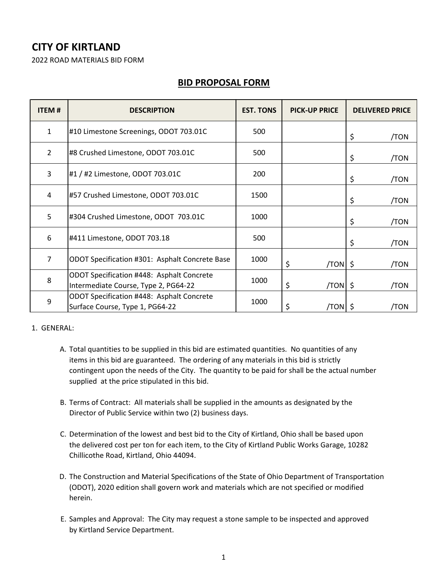## **CITY OF KIRTLAND**

2022 ROAD MATERIALS BID FORM

## **BID PROPOSAL FORM**

| <b>ITEM#</b>   | <b>DESCRIPTION</b>                                                                | <b>EST. TONS</b> | <b>PICK-UP PRICE</b> | <b>DELIVERED PRICE</b> |
|----------------|-----------------------------------------------------------------------------------|------------------|----------------------|------------------------|
| $\mathbf{1}$   | #10 Limestone Screenings, ODOT 703.01C                                            | 500              |                      | \$<br>/TON             |
| $\overline{2}$ | #8 Crushed Limestone, ODOT 703.01C                                                | 500              |                      | \$<br>/TON             |
| 3              | #1 / #2 Limestone, ODOT 703.01C                                                   | 200              |                      | \$<br>/TON             |
| 4              | #57 Crushed Limestone, ODOT 703.01C                                               | 1500             |                      | \$<br>/TON             |
| 5              | #304 Crushed Limestone, ODOT 703.01C                                              | 1000             |                      | \$<br>/TON             |
| 6              | #411 Limestone, ODOT 703.18                                                       | 500              |                      | \$<br>/TON             |
| $\overline{7}$ | ODOT Specification #301: Asphalt Concrete Base                                    | 1000             | \$<br>/TON S         | /TON                   |
| 8              | ODOT Specification #448: Asphalt Concrete<br>Intermediate Course, Type 2, PG64-22 | 1000             | \$<br>$/TON$ \$      | /TON                   |
| 9              | ODOT Specification #448: Asphalt Concrete<br>Surface Course, Type 1, PG64-22      | 1000             | \$<br>/TON  \$       | /TON                   |

## 1. GENERAL:

- A. Total quantities to be supplied in this bid are estimated quantities. No quantities of any items in this bid are guaranteed. The ordering of any materials in this bid is strictly contingent upon the needs of the City. The quantity to be paid for shall be the actual number supplied at the price stipulated in this bid.
- B. Terms of Contract: All materials shall be supplied in the amounts as designated by the Director of Public Service within two (2) business days.
- C. Determination of the lowest and best bid to the City of Kirtland, Ohio shall be based upon the delivered cost per ton for each item, to the City of Kirtland Public Works Garage, 10282 Chillicothe Road, Kirtland, Ohio 44094.
- D. The Construction and Material Specifications of the State of Ohio Department of Transportation (ODOT), 2020 edition shall govern work and materials which are not specified or modified herein.
- E. Samples and Approval: The City may request a stone sample to be inspected and approved by Kirtland Service Department.